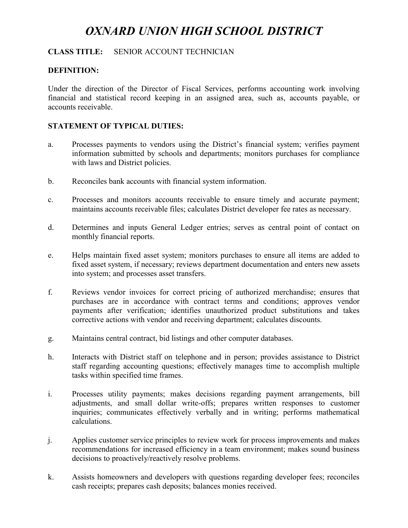# *OXNARD UNION HIGH SCHOOL DISTRICT*

## **CLASS TITLE:** SENIOR ACCOUNT TECHNICIAN

## **DEFINITION:**

Under the direction of the Director of Fiscal Services, performs accounting work involving financial and statistical record keeping in an assigned area, such as, accounts payable, or accounts receivable.

## **STATEMENT OF TYPICAL DUTIES:**

- a. Processes payments to vendors using the District's financial system; verifies payment information submitted by schools and departments; monitors purchases for compliance with laws and District policies.
- b. Reconciles bank accounts with financial system information.
- c. Processes and monitors accounts receivable to ensure timely and accurate payment; maintains accounts receivable files; calculates District developer fee rates as necessary.
- d. Determines and inputs General Ledger entries; serves as central point of contact on monthly financial reports.
- e. Helps maintain fixed asset system; monitors purchases to ensure all items are added to fixed asset system, if necessary; reviews department documentation and enters new assets into system; and processes asset transfers.
- f. Reviews vendor invoices for correct pricing of authorized merchandise; ensures that purchases are in accordance with contract terms and conditions; approves vendor payments after verification; identifies unauthorized product substitutions and takes corrective actions with vendor and receiving department; calculates discounts.
- g. Maintains central contract, bid listings and other computer databases.
- h. Interacts with District staff on telephone and in person; provides assistance to District staff regarding accounting questions; effectively manages time to accomplish multiple tasks within specified time frames.
- i. Processes utility payments; makes decisions regarding payment arrangements, bill adjustments, and small dollar write-offs; prepares written responses to customer inquiries; communicates effectively verbally and in writing; performs mathematical calculations.
- j. Applies customer service principles to review work for process improvements and makes recommendations for increased efficiency in a team environment; makes sound business decisions to proactively/reactively resolve problems.
- k. Assists homeowners and developers with questions regarding developer fees; reconciles cash receipts; prepares cash deposits; balances monies received.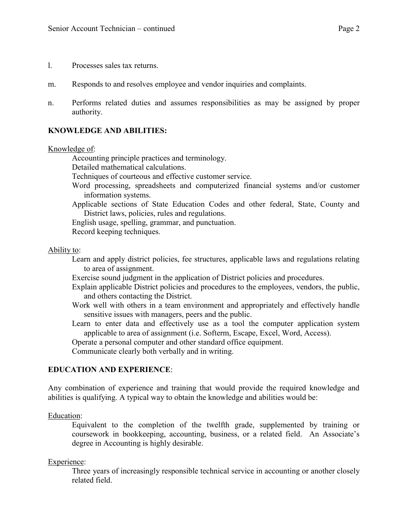- l. Processes sales tax returns.
- m. Responds to and resolves employee and vendor inquiries and complaints.
- n. Performs related duties and assumes responsibilities as may be assigned by proper authority.

## **KNOWLEDGE AND ABILITIES:**

#### Knowledge of:

Accounting principle practices and terminology.

Detailed mathematical calculations.

Techniques of courteous and effective customer service.

- Word processing, spreadsheets and computerized financial systems and/or customer information systems.
- Applicable sections of State Education Codes and other federal, State, County and District laws, policies, rules and regulations.

English usage, spelling, grammar, and punctuation.

Record keeping techniques.

#### Ability to:

- Learn and apply district policies, fee structures, applicable laws and regulations relating to area of assignment.
- Exercise sound judgment in the application of District policies and procedures.
- Explain applicable District policies and procedures to the employees, vendors, the public, and others contacting the District.
- Work well with others in a team environment and appropriately and effectively handle sensitive issues with managers, peers and the public.
- Learn to enter data and effectively use as a tool the computer application system applicable to area of assignment (i.e. Softerm, Escape, Excel, Word, Access).

Operate a personal computer and other standard office equipment.

Communicate clearly both verbally and in writing.

## **EDUCATION AND EXPERIENCE**:

Any combination of experience and training that would provide the required knowledge and abilities is qualifying. A typical way to obtain the knowledge and abilities would be:

Education:

Equivalent to the completion of the twelfth grade, supplemented by training or coursework in bookkeeping, accounting, business, or a related field. An Associate's degree in Accounting is highly desirable.

## Experience:

Three years of increasingly responsible technical service in accounting or another closely related field.